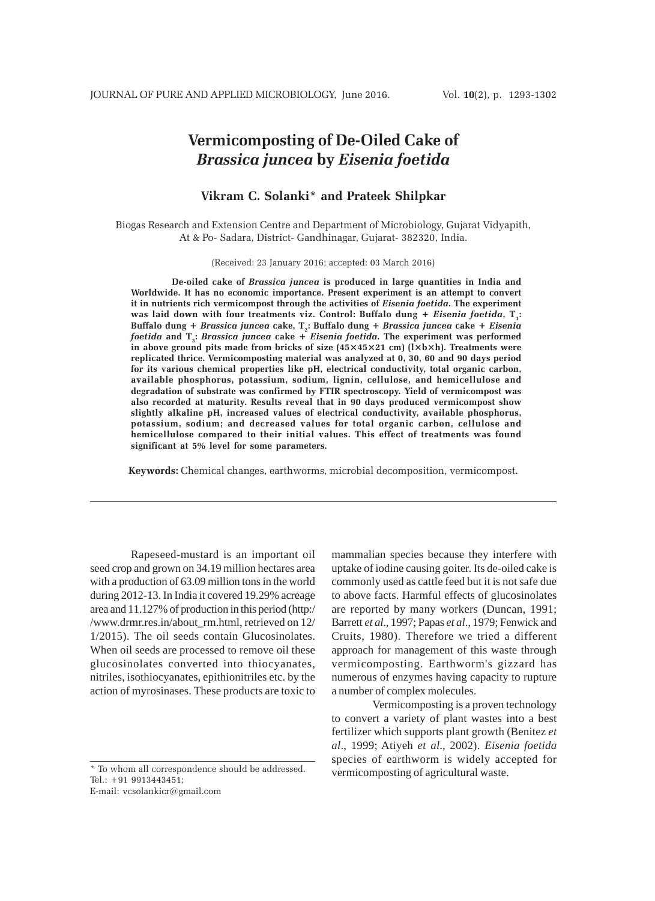# **Vermicomposting of De-Oiled Cake of** *Brassica juncea* **by** *Eisenia foetida*

# **Vikram C. Solanki\* and Prateek Shilpkar**

Biogas Research and Extension Centre and Department of Microbiology, Gujarat Vidyapith, At & Po- Sadara, District- Gandhinagar, Gujarat- 382320, India.

(Received: 23 January 2016; accepted: 03 March 2016)

**De-oiled cake of** *Brassica juncea* **is produced in large quantities in India and Worldwide. It has no economic importance. Present experiment is an attempt to convert it in nutrients rich vermicompost through the activities of** *Eisenia foetida***. The experiment** was laid down with four treatments viz. Control: Buffalo dung + *Eisenia foetida*, T<sub>i</sub>: **Buffalo dung +** *Brassica juncea* **cake, T2: Buffalo dung +** *Brassica juncea* **cake +** *Eisenia foetida* **and T3 :** *Brassica juncea* **cake +** *Eisenia foetida***. The experiment was performed in above ground pits made from bricks of size (45×45×21 cm) (l×b×h). Treatments were replicated thrice. Vermicomposting material was analyzed at 0, 30, 60 and 90 days period for its various chemical properties like pH, electrical conductivity, total organic carbon, available phosphorus, potassium, sodium, lignin, cellulose, and hemicellulose and degradation of substrate was confirmed by FTIR spectroscopy. Yield of vermicompost was also recorded at maturity. Results reveal that in 90 days produced vermicompost show slightly alkaline pH, increased values of electrical conductivity, available phosphorus, potassium, sodium; and decreased values for total organic carbon, cellulose and hemicellulose compared to their initial values. This effect of treatments was found significant at 5% level for some parameters.**

**Keywords:** Chemical changes, earthworms, microbial decomposition, vermicompost.

Rapeseed-mustard is an important oil seed crop and grown on 34.19 million hectares area with a production of 63.09 million tons in the world during 2012-13. In India it covered 19.29% acreage area and 11.127% of production in this period (http:/ /www.drmr.res.in/about\_rm.html, retrieved on 12/ 1/2015). The oil seeds contain Glucosinolates. When oil seeds are processed to remove oil these glucosinolates converted into thiocyanates, nitriles, isothiocyanates, epithionitriles etc. by the action of myrosinases. These products are toxic to

\* To whom all correspondence should be addressed. Tel.: +91 9913443451; E-mail: vcsolankicr@gmail.com

mammalian species because they interfere with uptake of iodine causing goiter. Its de-oiled cake is commonly used as cattle feed but it is not safe due to above facts. Harmful effects of glucosinolates are reported by many workers (Duncan, 1991; Barrett *et al*., 1997; Papas *et al*., 1979; Fenwick and Cruits, 1980). Therefore we tried a different approach for management of this waste through vermicomposting. Earthworm's gizzard has numerous of enzymes having capacity to rupture a number of complex molecules.

Vermicomposting is a proven technology to convert a variety of plant wastes into a best fertilizer which supports plant growth (Benitez *et al*., 1999; Atiyeh *et al*., 2002). *Eisenia foetida* species of earthworm is widely accepted for vermicomposting of agricultural waste.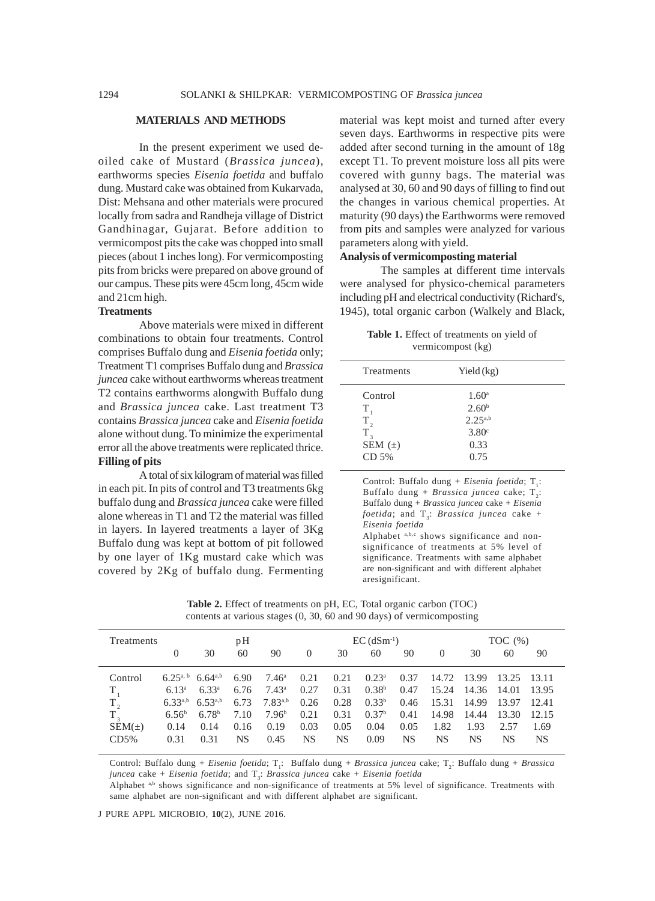#### **MATERIALS AND METHODS**

In the present experiment we used deoiled cake of Mustard (*Brassica juncea*), earthworms species *Eisenia foetida* and buffalo dung. Mustard cake was obtained from Kukarvada, Dist: Mehsana and other materials were procured locally from sadra and Randheja village of District Gandhinagar, Gujarat. Before addition to vermicompost pits the cake was chopped into small pieces (about 1 inches long). For vermicomposting pits from bricks were prepared on above ground of our campus. These pits were 45cm long, 45cm wide and 21cm high.

# **Treatments**

Above materials were mixed in different combinations to obtain four treatments. Control comprises Buffalo dung and *Eisenia foetida* only; Treatment T1 comprises Buffalo dung and *Brassica juncea* cake without earthworms whereas treatment T2 contains earthworms alongwith Buffalo dung and *Brassica juncea* cake. Last treatment T3 contains *Brassica juncea* cake and *Eisenia foetida* alone without dung. To minimize the experimental error all the above treatments were replicated thrice. **Filling of pits**

A total of six kilogram of material was filled in each pit. In pits of control and T3 treatments 6kg buffalo dung and *Brassica juncea* cake were filled alone whereas in T1 and T2 the material was filled in layers. In layered treatments a layer of 3Kg Buffalo dung was kept at bottom of pit followed by one layer of 1Kg mustard cake which was covered by 2Kg of buffalo dung. Fermenting

material was kept moist and turned after every seven days. Earthworms in respective pits were added after second turning in the amount of 18g except T1. To prevent moisture loss all pits were covered with gunny bags. The material was analysed at 30, 60 and 90 days of filling to find out the changes in various chemical properties. At maturity (90 days) the Earthworms were removed from pits and samples were analyzed for various parameters along with yield.

# **Analysis of vermicomposting material**

The samples at different time intervals were analysed for physico-chemical parameters including pH and electrical conductivity (Richard's, 1945), total organic carbon (Walkely and Black,

**Table 1.** Effect of treatments on yield of vermicompost (kg)

| Treatments                                                 | Yield $(kg)$                                                                             |  |
|------------------------------------------------------------|------------------------------------------------------------------------------------------|--|
| Control<br>T<br>$T_{2}$<br>$T_{3}$<br>SEM $(\pm)$<br>CD 5% | $1.60^{\circ}$<br>2.60 <sup>b</sup><br>$2.25^{a,b}$<br>3.80 <sup>c</sup><br>0.33<br>0.75 |  |
|                                                            |                                                                                          |  |

Control: Buffalo dung + *Eisenia foetida*; T<sub>1</sub>: Buffalo dung + *Brassica juncea* cake; T<sub>2</sub>: Buffalo dung + *Brassica juncea* cake + *Eisenia foetida*; and  $T<sub>3</sub>$ : *Brassica juncea* cake + *Eisenia foetida*

Alphabet a,b,c shows significance and nonsignificance of treatments at 5% level of significance. Treatments with same alphabet are non-significant and with different alphabet aresignificant.

| <b>Table 2.</b> Effect of treatments on pH, EC, Total organic carbon (TOC) |  |  |  |  |  |
|----------------------------------------------------------------------------|--|--|--|--|--|
| contents at various stages (0, 30, 60 and 90 days) of vermicomposting      |  |  |  |  |  |

| Treatments   |               |                   | pH   |                |          |      | $EC$ (dSm <sup>-1</sup> ) |      |          |             | TOC $(\%)$ |        |
|--------------|---------------|-------------------|------|----------------|----------|------|---------------------------|------|----------|-------------|------------|--------|
|              | $\theta$      | 30                | 60   | 90             | $\theta$ | 30   | 60                        | 90   | $\Omega$ | 30          | 60         | 90     |
| Control      | $6.25^{a, b}$ | $6.64^{a,b}$      | 6.90 | $7.46^{\circ}$ | 0.21     | 0.21 | $0.23^{\rm a}$            | 0.37 |          | 14.72 13.99 | 13.25      | -13.11 |
| T            | $6.13^a$      | $6.33^{a}$        | 6.76 | $7.43^{\rm a}$ | 0.27     | 0.31 | 0.38 <sup>b</sup>         | 0.47 | 15.24    | 14.36       | 14.01      | 13.95  |
| $\rm T_{_2}$ | $6.33^{a,b}$  | $6.53^{a,b}$      | 6.73 | $7.83^{a,b}$   | 0.26     | 0.28 | $0.33^{b}$                | 0.46 | 15.31    | 14.99       | 13.97      | 12.41  |
| $T_{3}$      | $6.56^b$      | 6.78 <sup>b</sup> | 7.10 | $7.96^{\rm b}$ | 0.21     | 0.31 | 0.37 <sup>b</sup>         | 0.41 | 14.98    | 14.44       | 13.30      | 12.15  |
| $SEM(\pm)$   | 0.14          | 0.14              | 0.16 | 0.19           | 0.03     | 0.05 | 0.04                      | 0.05 | 1.82     | 1.93        | 2.57       | 1.69   |
| CD5%         | 0.31          | 0.31              | NS   | 0.45           | NS       | NS   | 0.09                      | NS   | NS       | NS          | NS         | NS.    |

Control: Buffalo dung + *Eisenia foetida*; T<sub>1</sub>: Buffalo dung + *Brassica juncea* cake; T<sub>2</sub>: Buffalo dung + *Brassica juncea* cake + *Eisenia foetida*; and  $T<sub>3</sub>$ : *Brassica juncea* cake + *Eisenia foetida* 

Alphabet a,b shows significance and non-significance of treatments at 5% level of significance. Treatments with same alphabet are non-significant and with different alphabet are significant.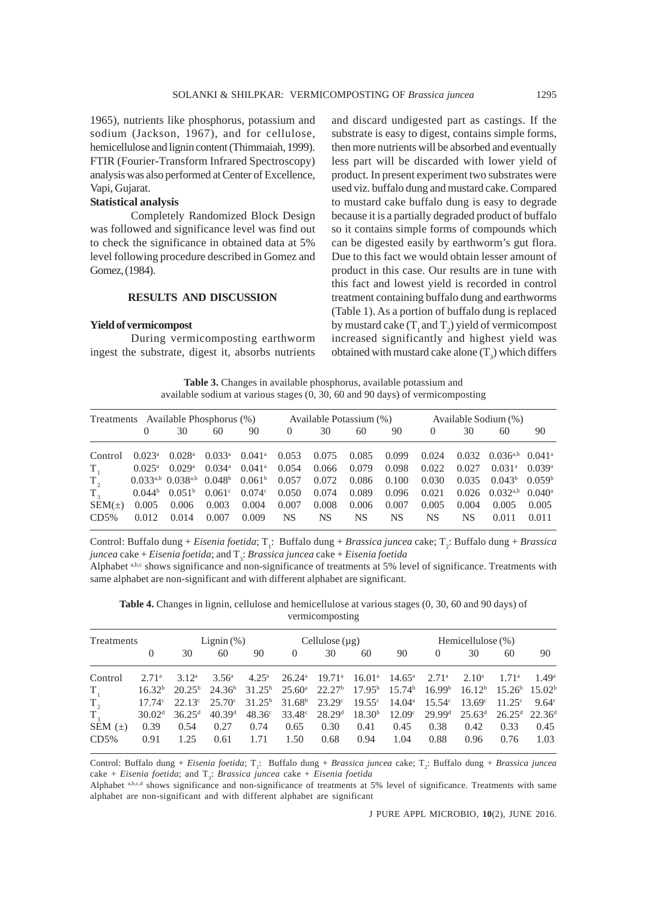1965), nutrients like phosphorus, potassium and sodium (Jackson, 1967), and for cellulose, hemicellulose and lignin content (Thimmaiah, 1999). FTIR (Fourier-Transform Infrared Spectroscopy) analysis was also performed at Center of Excellence, Vapi, Gujarat.

# **Statistical analysis**

Completely Randomized Block Design was followed and significance level was find out to check the significance in obtained data at 5% level following procedure described in Gomez and Gomez, (1984).

#### **RESULTS AND DISCUSSION**

# **Yield of vermicompost**

During vermicomposting earthworm ingest the substrate, digest it, absorbs nutrients and discard undigested part as castings. If the substrate is easy to digest, contains simple forms, then more nutrients will be absorbed and eventually less part will be discarded with lower yield of product. In present experiment two substrates were used viz. buffalo dung and mustard cake. Compared to mustard cake buffalo dung is easy to degrade because it is a partially degraded product of buffalo so it contains simple forms of compounds which can be digested easily by earthworm's gut flora. Due to this fact we would obtain lesser amount of product in this case. Our results are in tune with this fact and lowest yield is recorded in control treatment containing buffalo dung and earthworms (Table 1). As a portion of buffalo dung is replaced by mustard cake  $(T_1$  and  $T_2)$  yield of vermicompost increased significantly and highest yield was obtained with mustard cake alone  $(T_3)$  which differs

**Table 3.** Changes in available phosphorus, available potassium and available sodium at various stages (0, 30, 60 and 90 days) of vermicomposting

| Treatments Available Phosphorus (%) |          |                                                                 |                 |                      |           | Available Potassium (%) |       |       |          |       | Available Sodium (%)            |                      |
|-------------------------------------|----------|-----------------------------------------------------------------|-----------------|----------------------|-----------|-------------------------|-------|-------|----------|-------|---------------------------------|----------------------|
|                                     | $\theta$ | 30                                                              | 60              | 90                   | $\left($  | 30                      | 60    | 90    | $\left($ | 30    | 60                              | 90                   |
| Control                             | 0.023a   | $0.028^{\rm a}$                                                 | $0.033^{\rm a}$ | $0.041$ <sup>a</sup> | 0.053     | 0.075                   | 0.085 | 0.099 | 0.024    |       | $0.032$ $0.036^{a,b}$ $0.041^a$ |                      |
| $T_{1}$                             |          | $0.025^{\text{a}}$ $0.029^{\text{a}}$                           | $0.034^{\rm a}$ | $0.041^{\rm a}$      | 0.054     | 0.066                   | 0.079 | 0.098 | 0.022    | 0.027 | $0.031$ <sup>a</sup>            | $0.039$ <sup>a</sup> |
| T <sub>2</sub>                      |          | $0.033^{a,b}$ $0.038^{a,b}$ $0.048^b$                           |                 | $0.061^{\rm b}$      | 0.057     | 0.072                   | 0.086 | 0.100 | 0.030    | 0.035 | $0.043^b$                       | 0.059 <sup>b</sup>   |
| $T_{\rm a}$                         |          | $0.044^{\circ}$ $0.051^{\circ}$ $0.061^{\circ}$ $0.074^{\circ}$ |                 |                      | 0.050     | 0.074                   | 0.089 | 0.096 | 0.021    |       | $0.026$ $0.032^{a,b}$           | $0.040^{\rm a}$      |
| $SEM(\pm)$                          | 0.005    | 0.006                                                           | 0.003           | 0.004                | 0.007     | 0.008                   | 0.006 | 0.007 | 0.005    | 0.004 | 0.005                           | 0.005                |
| CD5%                                | 0.012    | 0.014                                                           | 0.007           | 0.009                | <b>NS</b> | <b>NS</b>               | NS    | NS    | NS       | NS    | 0.011                           | 0.011                |

Control: Buffalo dung + *Eisenia foetida*; T<sub>1</sub>: Buffalo dung + *Brassica juncea* cake; T<sub>2</sub>: Buffalo dung + *Brassica juncea* cake + *Eisenia foetida*; and T3 : *Brassica juncea* cake + *Eisenia foetida*

Alphabet a,b,c shows significance and non-significance of treatments at 5% level of significance. Treatments with same alphabet are non-significant and with different alphabet are significant.

**Table 4.** Changes in lignin, cellulose and hemicellulose at various stages (0, 30, 60 and 90 days) of vermicomposting

| Treatments    |                   | Lignin $(\%)$               |                    |                                                                                                                                                                                                 | Cellulose $(\mu g)$ |                                                     |      | Hemicellulose $(\%)$ |                                                       |      |      |      |
|---------------|-------------------|-----------------------------|--------------------|-------------------------------------------------------------------------------------------------------------------------------------------------------------------------------------------------|---------------------|-----------------------------------------------------|------|----------------------|-------------------------------------------------------|------|------|------|
|               | $\theta$          | 30                          | 60                 | 90                                                                                                                                                                                              | $\theta$            | 30                                                  | 60   | 90                   | $\theta$                                              | 30   | 60   | 90   |
| Control       | 2.71 <sup>a</sup> | $3.12^a$                    |                    | $3.56^{\circ}$ $4.25^{\circ}$ $26.24^{\circ}$ $19.71^{\circ}$ $16.01^{\circ}$ $14.65^{\circ}$ $2.71^{\circ}$ $2.10^{\circ}$ $1.71^{\circ}$ $1.49^{\circ}$                                       |                     |                                                     |      |                      |                                                       |      |      |      |
| $T_{1}$       |                   |                             |                    | $16.32^{\circ}$ $20.25^{\circ}$ $24.36^{\circ}$ $31.25^{\circ}$ $25.60^{\circ}$ $22.27^{\circ}$ $17.95^{\circ}$ $15.74^{\circ}$ $16.99^{\circ}$ $16.12^{\circ}$ $15.26^{\circ}$ $15.02^{\circ}$ |                     |                                                     |      |                      |                                                       |      |      |      |
| T,            |                   |                             |                    | $17.74^{\circ}$ $22.13^{\circ}$ $25.70^{\circ}$ $31.25^{\circ}$ $31.68^{\circ}$ $23.29^{\circ}$ $19.55^{\circ}$ $14.04^{\circ}$ $15.54^{\circ}$ $13.69^{\circ}$ $11.25^{\circ}$ $9.64^{\circ}$  |                     |                                                     |      |                      |                                                       |      |      |      |
| $T_{\tiny 3}$ |                   | $30.02d$ 36.25 <sup>d</sup> | 40.39 <sup>d</sup> |                                                                                                                                                                                                 |                     | $48.36^{\circ}$ 33.48 $^{\circ}$ 28.29 <sup>d</sup> |      |                      | $18.30b$ $12.09c$ $29.99d$ $25.63d$ $26.25d$ $22.36d$ |      |      |      |
| SEM $(\pm)$   | 0.39              | 0.54                        | 0.27               | 0.74                                                                                                                                                                                            | 0.65                | 0.30                                                | 0.41 | 0.45                 | 0.38                                                  | 0.42 | 0.33 | 0.45 |
| CD5%          | 0.91              | 1.25                        | 0.61               | 1.71                                                                                                                                                                                            | 1.50                | 0.68                                                | 0.94 | 1.04                 | 0.88                                                  | 0.96 | 0.76 | 1.03 |

Control: Buffalo dung + *Eisenia foetida*; T<sub>1</sub>: Buffalo dung + *Brassica juncea* cake; T<sub>2</sub>: Buffalo dung + *Brassica juncea* cake + *Eisenia foetida*; and T<sub>3</sub>: *Brassica juncea* cake + *Eisenia foetida* 

Alphabet a,b,c,d shows significance and non-significance of treatments at 5% level of significance. Treatments with same alphabet are non-significant and with different alphabet are significant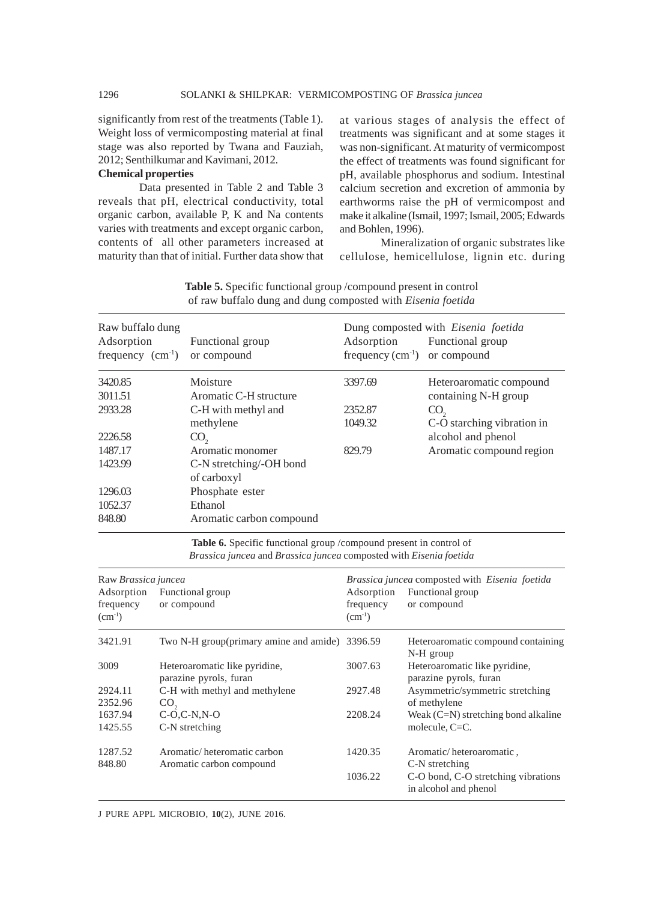significantly from rest of the treatments (Table 1). Weight loss of vermicomposting material at final stage was also reported by Twana and Fauziah, 2012; Senthilkumar and Kavimani, 2012.

#### **Chemical properties**

Data presented in Table 2 and Table 3 reveals that pH, electrical conductivity, total organic carbon, available P, K and Na contents varies with treatments and except organic carbon, contents of all other parameters increased at maturity than that of initial. Further data show that at various stages of analysis the effect of treatments was significant and at some stages it was non-significant. At maturity of vermicompost the effect of treatments was found significant for pH, available phosphorus and sodium. Intestinal calcium secretion and excretion of ammonia by earthworms raise the pH of vermicompost and make it alkaline (Ismail, 1997; Ismail, 2005; Edwards and Bohlen, 1996).

Mineralization of organic substrates like cellulose, hemicellulose, lignin etc. during

| Raw buffalo dung<br>Adsorption<br>frequency $(cm-1)$ | Functional group<br>or compound        | Adsorption<br>frequency $(cm^{-1})$ or compound | Dung composted with <i>Eisenia foetida</i><br>Functional group |
|------------------------------------------------------|----------------------------------------|-------------------------------------------------|----------------------------------------------------------------|
| 3420.85                                              | Moisture                               | 3397.69                                         | Heteroaromatic compound                                        |
| 3011.51                                              | Aromatic C-H structure                 |                                                 | containing N-H group                                           |
| 2933.28                                              | C-H with methyl and                    | 2352.87                                         | CO <sub>2</sub>                                                |
|                                                      | methylene                              | 1049.32                                         | C-O starching vibration in                                     |
| 2226.58                                              | CO <sub>2</sub>                        |                                                 | alcohol and phenol                                             |
| 1487.17                                              | Aromatic monomer                       | 829.79                                          | Aromatic compound region                                       |
| 1423.99                                              | C-N stretching/-OH bond<br>of carboxyl |                                                 |                                                                |
| 1296.03                                              | Phosphate ester                        |                                                 |                                                                |
| 1052.37                                              | Ethanol                                |                                                 |                                                                |
| 848.80                                               | Aromatic carbon compound               |                                                 |                                                                |

**Table 5.** Specific functional group /compound present in control of raw buffalo dung and dung composted with *Eisenia foetida*

**Table 6.** Specific functional group /compound present in control of *Brassica juncea* and *Brassica juncea* composted with *Eisenia foetida*

| Raw Brassica juncea<br>Adsorption<br>frequency<br>$(cm^{-1})$ | Functional group<br>or compound                         | Adsorption<br>frequency<br>$(cm^{-1})$ | Brassica juncea composted with Eisenia foetida<br>Functional group<br>or compound |
|---------------------------------------------------------------|---------------------------------------------------------|----------------------------------------|-----------------------------------------------------------------------------------|
| 3421.91                                                       | Two N-H group(primary amine and amide) 3396.59          |                                        | Heteroaromatic compound containing<br>N-H group                                   |
| 3009                                                          | Heteroaromatic like pyridine,<br>parazine pyrols, furan | 3007.63                                | Heteroaromatic like pyridine,<br>parazine pyrols, furan                           |
| 2924.11<br>2352.96                                            | C-H with methyl and methylene<br>CO <sub>2</sub>        | 2927.48                                | Asymmetric/symmetric stretching<br>of methylene                                   |
| 1637.94<br>1425.55                                            | $C-O.C-N.N-O$<br>C-N stretching                         | 2208.24                                | Weak $(C=N)$ stretching bond alkaline<br>molecule, $C=C$ .                        |
| 1287.52<br>848.80                                             | Aromatic/heteromatic carbon<br>Aromatic carbon compound | 1420.35                                | Aromatic/heteroaromatic,<br>C-N stretching                                        |
|                                                               |                                                         | 1036.22                                | C-O bond, C-O stretching vibrations<br>in alcohol and phenol                      |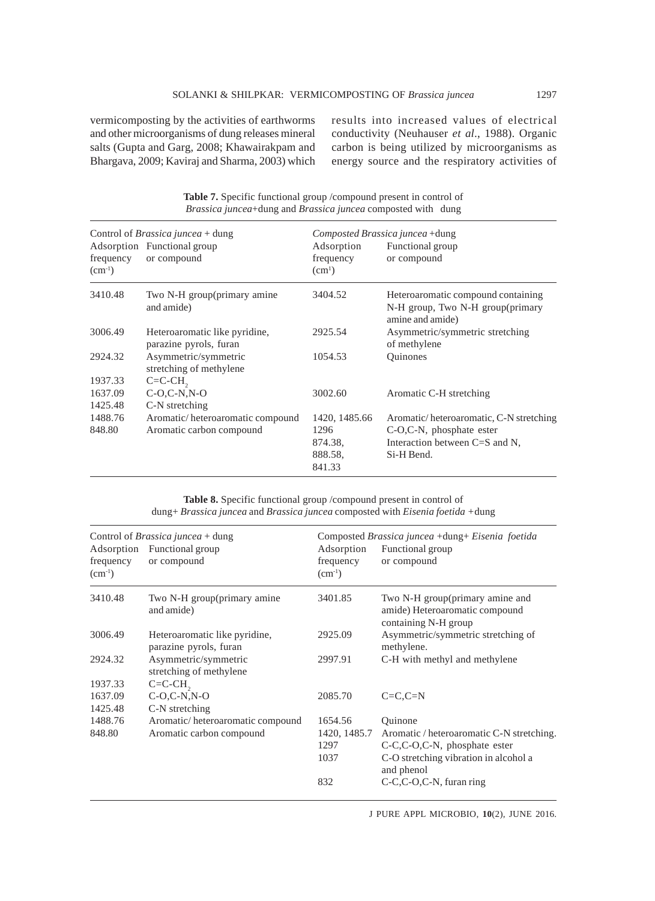vermicomposting by the activities of earthworms and other microorganisms of dung releases mineral salts (Gupta and Garg, 2008; Khawairakpam and Bhargava, 2009; Kaviraj and Sharma, 2003) which results into increased values of electrical conductivity (Neuhauser *et al*., 1988). Organic carbon is being utilized by microorganisms as energy source and the respiratory activities of

| frequency<br>$(cm-1)$ | Control of <i>Brassica juncea</i> + dung<br>Adsorption Functional group<br>or compound | Adsorption<br>frequency<br>(cm <sup>1</sup> ) | Composted Brassica juncea +dung<br>Functional group<br>or compound                         |
|-----------------------|----------------------------------------------------------------------------------------|-----------------------------------------------|--------------------------------------------------------------------------------------------|
| 3410.48               | Two N-H group(primary amine<br>and amide)                                              | 3404.52                                       | Heteroaromatic compound containing<br>N-H group, Two N-H group(primary<br>amine and amide) |
| 3006.49               | Heteroaromatic like pyridine,<br>parazine pyrols, furan                                | 2925.54                                       | Asymmetric/symmetric stretching<br>of methylene                                            |
| 2924.32               | Asymmetric/symmetric<br>stretching of methylene                                        | 1054.53                                       | <b>Ouinones</b>                                                                            |
| 1937.33               | $C=C-CH$                                                                               |                                               |                                                                                            |
| 1637.09               | $C-O.C-N.N-O$                                                                          | 3002.60                                       | Aromatic C-H stretching                                                                    |
| 1425.48               | C-N stretching                                                                         |                                               |                                                                                            |
| 1488.76               | Aromatic/heteroaromatic compound                                                       | 1420, 1485.66                                 | Aromatic/heteroaromatic, C-N stretching                                                    |
| 848.80                | Aromatic carbon compound                                                               | 1296<br>874.38,<br>888.58.<br>841.33          | C-O,C-N, phosphate ester<br>Interaction between C=S and N,<br>Si-H Bend.                   |

**Table 7.** Specific functional group /compound present in control of *Brassica juncea*+dung and *Brassica juncea* composted with dung

**Table 8.** Specific functional group /compound present in control of dung+ *Brassica juncea* and *Brassica juncea* composted with *Eisenia foetida +*dung

| frequency<br>$(cm^{-1})$ | Control of <i>Brassica juncea</i> + dung<br>Adsorption Functional group<br>or compound | Adsorption<br>frequency<br>$(cm^{-1})$ | Composted Brassica juncea + dung + Eisenia foetida<br>Functional group<br>or compound     |
|--------------------------|----------------------------------------------------------------------------------------|----------------------------------------|-------------------------------------------------------------------------------------------|
| 3410.48                  | Two N-H group(primary amine<br>and amide)                                              | 3401.85                                | Two N-H group(primary amine and<br>amide) Heteroaromatic compound<br>containing N-H group |
| 3006.49                  | Heteroaromatic like pyridine,<br>parazine pyrols, furan                                | 2925.09                                | Asymmetric/symmetric stretching of<br>methylene.                                          |
| 2924.32                  | Asymmetric/symmetric<br>stretching of methylene                                        | 2997.91                                | C-H with methyl and methylene                                                             |
| 1937.33                  | $C=C-CH$                                                                               |                                        |                                                                                           |
| 1637.09                  | $C-O.C-N.N-O$                                                                          | 2085.70                                | $C=C.C=N$                                                                                 |
| 1425.48                  | C-N stretching                                                                         |                                        |                                                                                           |
| 1488.76                  | Aromatic/heteroaromatic compound                                                       | 1654.56                                | Ouinone                                                                                   |
| 848.80                   | Aromatic carbon compound                                                               | 1420, 1485.7                           | Aromatic / heteroaromatic C-N stretching.                                                 |
|                          |                                                                                        | 1297                                   | $C-C$ , $C-O$ , $C-N$ , phosphate ester                                                   |
|                          |                                                                                        | 1037                                   | C-O stretching vibration in alcohol a<br>and phenol                                       |
|                          |                                                                                        | 832                                    | C-C,C-O,C-N, furan ring                                                                   |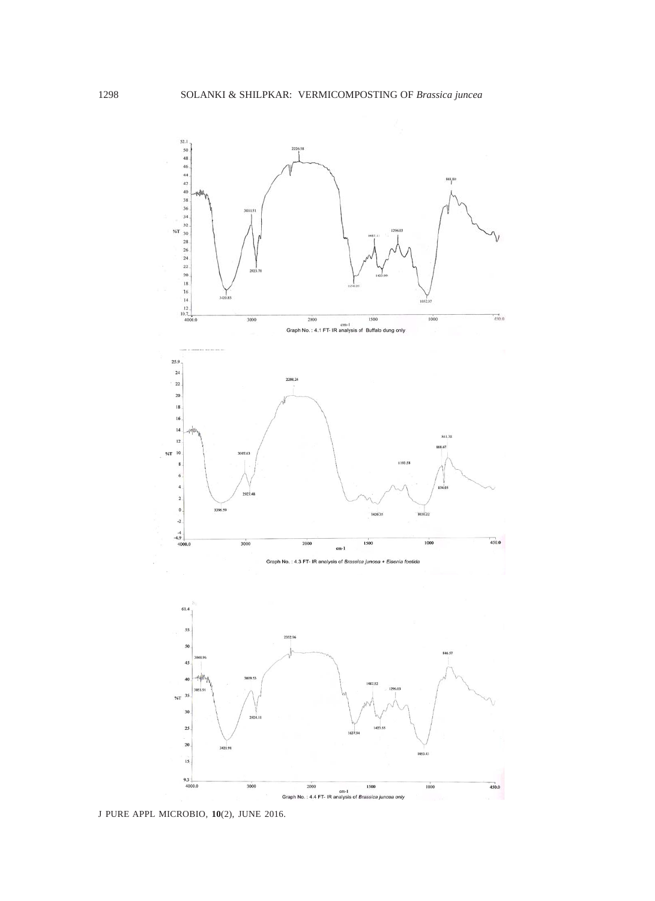

J PURE APPL MICROBIO*,* **10**(2), JUNE 2016.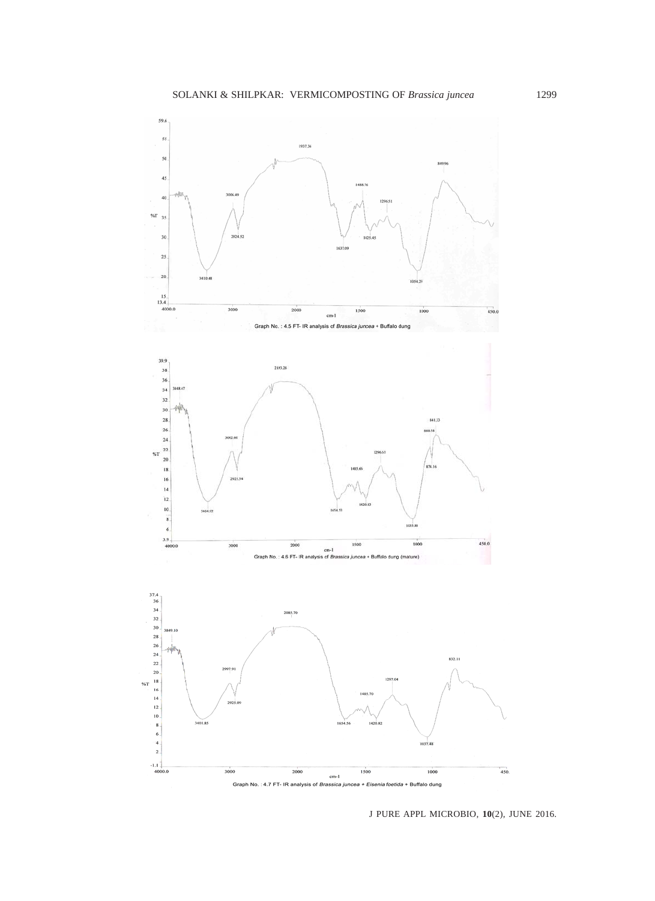

J PURE APPL MICROBIO*,* **10**(2), JUNE 2016.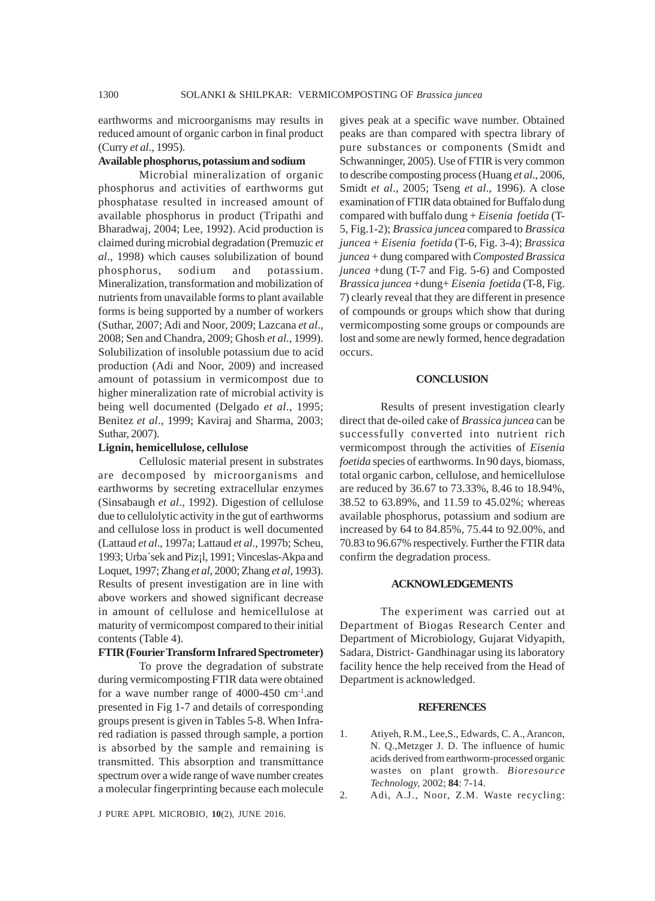earthworms and microorganisms may results in reduced amount of organic carbon in final product (Curry *et al*., 1995).

# **Available phosphorus, potassium and sodium**

Microbial mineralization of organic phosphorus and activities of earthworms gut phosphatase resulted in increased amount of available phosphorus in product (Tripathi and Bharadwaj, 2004; Lee, 1992). Acid production is claimed during microbial degradation (Premuzic *et al*., 1998) which causes solubilization of bound phosphorus, sodium and potassium. Mineralization, transformation and mobilization of nutrients from unavailable forms to plant available forms is being supported by a number of workers (Suthar, 2007; Adi and Noor, 2009; Lazcana *et al*., 2008; Sen and Chandra, 2009; Ghosh *et al*., 1999). Solubilization of insoluble potassium due to acid production (Adi and Noor, 2009) and increased amount of potassium in vermicompost due to higher mineralization rate of microbial activity is being well documented (Delgado *et al*., 1995; Benitez *et al*., 1999; Kaviraj and Sharma, 2003; Suthar, 2007).

### **Lignin, hemicellulose, cellulose**

Cellulosic material present in substrates are decomposed by microorganisms and earthworms by secreting extracellular enzymes (Sinsabaugh *et al*., 1992). Digestion of cellulose due to cellulolytic activity in the gut of earthworms and cellulose loss in product is well documented (Lattaud *et al*., 1997a; Lattaud *et al*., 1997b; Scheu, 1993; Urba´sek and Piz¡l, 1991; Vinceslas-Akpa and Loquet, 1997; Zhang *et al*, 2000; Zhang *et al*, 1993). Results of present investigation are in line with above workers and showed significant decrease in amount of cellulose and hemicellulose at maturity of vermicompost compared to their initial contents (Table 4).

# **FTIR (Fourier Transform Infrared Spectrometer)**

To prove the degradation of substrate during vermicomposting FTIR data were obtained for a wave number range of  $4000-450$  cm<sup>-1</sup>.and presented in Fig 1-7 and details of corresponding groups present is given in Tables 5-8. When Infrared radiation is passed through sample, a portion is absorbed by the sample and remaining is transmitted. This absorption and transmittance spectrum over a wide range of wave number creates a molecular fingerprinting because each molecule

J PURE APPL MICROBIO*,* **10**(2), JUNE 2016.

gives peak at a specific wave number. Obtained peaks are than compared with spectra library of pure substances or components (Smidt and Schwanninger, 2005). Use of FTIR is very common to describe composting process (Huang *et al*., 2006, Smidt *et al*., 2005; Tseng *et al*., 1996). A close examination of FTIR data obtained for Buffalo dung compared with buffalo dung + *Eisenia foetida* (T-5, Fig.1-2); *Brassica juncea* compared to *Brassica juncea* + *Eisenia foetida* (T-6, Fig. 3-4); *Brassica juncea* + dung compared with *Composted Brassica juncea* +dung (T-7 and Fig. 5-6) and Composted *Brassica juncea* +dung+ *Eisenia foetida* (T-8, Fig. 7) clearly reveal that they are different in presence of compounds or groups which show that during vermicomposting some groups or compounds are lost and some are newly formed, hence degradation occurs.

#### **CONCLUSION**

Results of present investigation clearly direct that de-oiled cake of *Brassica juncea* can be successfully converted into nutrient rich vermicompost through the activities of *Eisenia foetida* species of earthworms. In 90 days, biomass, total organic carbon, cellulose, and hemicellulose are reduced by 36.67 to 73.33%, 8.46 to 18.94%, 38.52 to 63.89%, and 11.59 to 45.02%; whereas available phosphorus, potassium and sodium are increased by 64 to 84.85%, 75.44 to 92.00%, and 70.83 to 96.67% respectively. Further the FTIR data confirm the degradation process.

#### **ACKNOWLEDGEMENTS**

The experiment was carried out at Department of Biogas Research Center and Department of Microbiology, Gujarat Vidyapith, Sadara, District- Gandhinagar using its laboratory facility hence the help received from the Head of Department is acknowledged.

# **REFERENCES**

- 1. Atiyeh, R.M., Lee,S., Edwards, C. A., Arancon, N. Q.,Metzger J. D. The influence of humic acids derived from earthworm-processed organic wastes on plant growth. *Bioresource Technology,* 2002; **84**: 7-14.
- 2. Adi, A.J., Noor, Z.M. Waste recycling: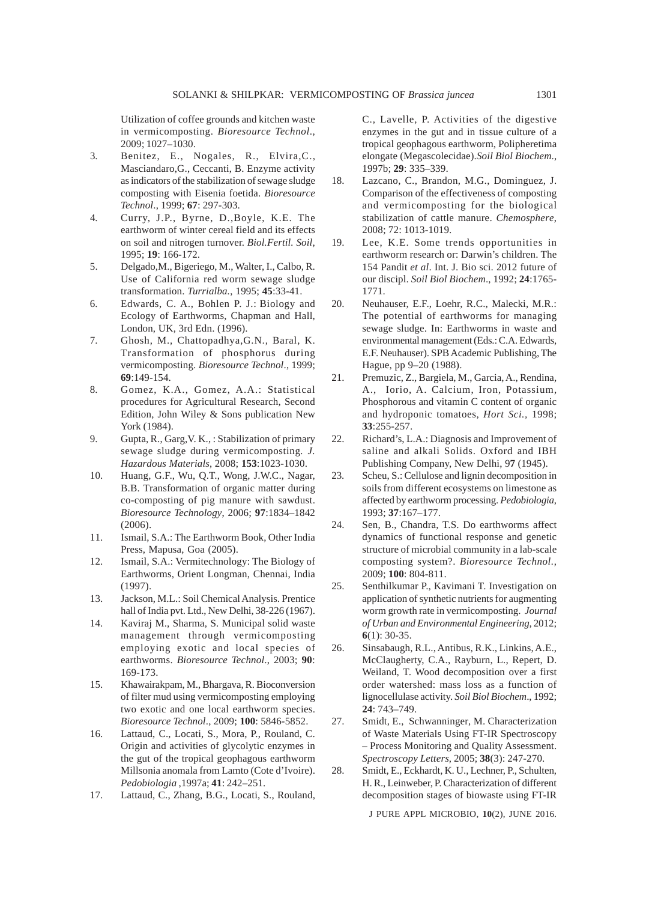Utilization of coffee grounds and kitchen waste in vermicomposting. *Bioresource Technol*., 2009; 1027–1030.

- 3. Benitez, E., Nogales, R., Elvira,C., Masciandaro,G., Ceccanti, B. Enzyme activity as indicators of the stabilization of sewage sludge composting with Eisenia foetida. *Bioresource Technol*., 1999; **67**: 297-303.
- 4. Curry, J.P., Byrne, D.,Boyle, K.E. The earthworm of winter cereal field and its effects on soil and nitrogen turnover. *Biol.Fertil. Soil*, 1995; **19**: 166-172.
- 5. Delgado,M., Bigeriego, M., Walter, I., Calbo, R. Use of California red worm sewage sludge transformation. *Turrialba.*, 1995; **45**:33-41.
- 6. Edwards, C. A., Bohlen P. J.: Biology and Ecology of Earthworms, Chapman and Hall, London, UK, 3rd Edn. (1996).
- 7. Ghosh, M., Chattopadhya,G.N., Baral, K. Transformation of phosphorus during vermicomposting. *Bioresource Technol*., 1999; **69**:149-154.
- 8. Gomez, K.A., Gomez, A.A.: Statistical procedures for Agricultural Research, Second Edition, John Wiley & Sons publication New York (1984).
- 9. Gupta, R., Garg,V. K., : Stabilization of primary sewage sludge during vermicomposting*. J. Hazardous Materials*, 2008; **153**:1023-1030.
- 10. Huang, G.F., Wu, Q.T., Wong, J.W.C., Nagar, B.B. Transformation of organic matter during co-composting of pig manure with sawdust. *Bioresource Technology*, 2006; **97**:1834–1842 (2006).
- 11. Ismail, S.A.: The Earthworm Book, Other India Press, Mapusa, Goa (2005).
- 12. Ismail, S.A.: Vermitechnology: The Biology of Earthworms, Orient Longman, Chennai, India (1997).
- 13. Jackson, M.L.: Soil Chemical Analysis. Prentice hall of India pvt. Ltd., New Delhi, 38-226 (1967).
- 14. Kaviraj M., Sharma, S. Municipal solid waste management through vermicomposting employing exotic and local species of earthworms. *Bioresource Technol*., 2003; **90**: 169-173.
- 15. Khawairakpam, M., Bhargava, R. Bioconversion of filter mud using vermicomposting employing two exotic and one local earthworm species. *Bioresource Technol*., 2009; **100**: 5846-5852.
- 16. Lattaud, C., Locati, S., Mora, P., Rouland, C. Origin and activities of glycolytic enzymes in the gut of the tropical geophagous earthworm Millsonia anomala from Lamto (Cote d'Ivoire). *Pedobiologia* ,1997a; **41**: 242–251.
- 17. Lattaud, C., Zhang, B.G., Locati, S., Rouland,

C., Lavelle, P. Activities of the digestive enzymes in the gut and in tissue culture of a tropical geophagous earthworm, Polipheretima elongate (Megascolecidae).*Soil Biol Biochem*., 1997b; **29**: 335–339.

- 18. Lazcano, C., Brandon, M.G., Dominguez, J. Comparison of the effectiveness of composting and vermicomposting for the biological stabilization of cattle manure. *Chemosphere*, 2008; 72: 1013-1019.
- 19. Lee, K.E. Some trends opportunities in earthworm research or: Darwin's children. The 154 Pandit *et al*. Int. J. Bio sci. 2012 future of our discipl. *Soil Biol Biochem*., 1992; **24**:1765- 1771.
- 20. Neuhauser, E.F., Loehr, R.C., Malecki, M.R.: The potential of earthworms for managing sewage sludge. In: Earthworms in waste and environmental management (Eds.: C.A. Edwards, E.F. Neuhauser). SPB Academic Publishing, The Hague, pp 9–20 (1988).
- 21. Premuzic, Z., Bargiela, M., Garcia, A., Rendina, A., Iorio, A. Calcium, Iron, Potassium, Phosphorous and vitamin C content of organic and hydroponic tomatoes, *Hort Sci.,* 1998; **33**:255-257.
- 22. Richard's, L.A.: Diagnosis and Improvement of saline and alkali Solids. Oxford and IBH Publishing Company, New Delhi, 9**7** (1945).
- 23. Scheu, S.: Cellulose and lignin decomposition in soils from different ecosystems on limestone as affected by earthworm processing. *Pedobiologia*, 1993; **37**:167–177.
- 24. Sen, B., Chandra, T.S. Do earthworms affect dynamics of functional response and genetic structure of microbial community in a lab-scale composting system?. *Bioresource Technol.*, 2009; **100**: 804-811.
- 25. Senthilkumar P., Kavimani T. Investigation on application of synthetic nutrients for augmenting worm growth rate in vermicomposting. *Journal of Urban and Environmental Engineering*, 2012; **6**(1): 30-35.
- 26. Sinsabaugh, R.L., Antibus, R.K., Linkins, A.E., McClaugherty, C.A., Rayburn, L., Repert, D. Weiland, T. Wood decomposition over a first order watershed: mass loss as a function of lignocellulase activity. *Soil Biol Biochem*., 1992; **24**: 743–749.
- 27. Smidt, E., Schwanninger, M. Characterization of Waste Materials Using FT-IR Spectroscopy – Process Monitoring and Quality Assessment. *Spectroscopy Letters*, 2005; **38**(3): 247-270.
- 28. Smidt, E., Eckhardt, K. U., Lechner, P., Schulten, H. R., Leinweber, P. Characterization of different decomposition stages of biowaste using FT-IR